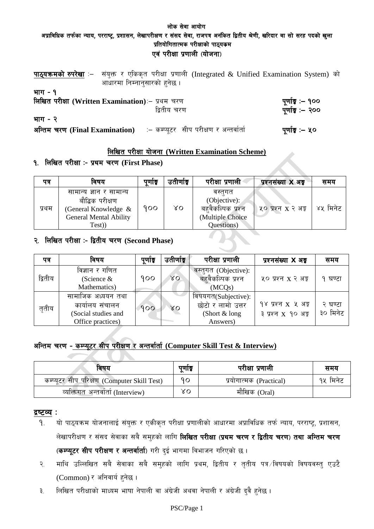# लोक सेवा आयोग अप्राविधिक तर्फका न्याय, परराष्ट्र, प्रशासन, लेखापरीक्षण र संसद सेवा, राजपत्र अनंकित द्वितीय श्रेणी, खरिदार वा सो सरह पदको खुला प्रतियोगितात्मक परीक्षाको पाठ्यकम एवं परीक्षा प्रणाली (योजना)

|          | पाठ्यक्रमको रुपरेखा :- संयुक्त र एकिकृत परीक्षा प्रणाली (Integrated & Unified Examination System) को |                                      |
|----------|------------------------------------------------------------------------------------------------------|--------------------------------------|
|          | आधारमा निम्नानुसारको हुनेछ ।                                                                         |                                      |
| भाग - १  | लिखित परीक्षा (Written Examination) :- प्रथम चरण<br>द्वितीय चरण                                      | पूर्णाङ्ग :– १००<br>पूर्णाङ्ग :– २०० |
| भाग $-2$ |                                                                                                      |                                      |
|          | अन्तिम चरण (Final Examination) : = कम्प्यूटर सीप परीक्षण र अन्तर्वार्ता                              | पूर्णाङ्ग :– ५०                      |

# लिखित परीक्षा योजना (Written Examination Scheme)

# १. लिखित परीक्षा :- प्रथम चरण (First Phase)

| पत्र  | विषय                                                                                                          | पुणोङ्क | उतीर्णाङ | परीक्षा प्रणाली                                                               | प्रश्नसंख्या <b>X</b> अड्ड | समय      |
|-------|---------------------------------------------------------------------------------------------------------------|---------|----------|-------------------------------------------------------------------------------|----------------------------|----------|
| प्रथम | सामान्य ज्ञान र सामान्य<br>बौद्धिक परीक्षण<br>(General Knowledge &<br><b>General Mental Ability</b><br>Test)) | 900     | XΟ       | वस्तगत<br>(Objective):<br>बहवैकल्पिक प्रश्न<br>(Multiple Choice<br>Questions) | ५० प्रश्न x २ अङ्क         | ४५ मिनेट |

# २. लिखित परीक्षा :- द्वितीय चरण (Second Phase)

| पत्र    | विषय                                                                              | पुणाङ्क | उतीर्णाङ्क  | परीक्षा प्रणाली                                                         | प्रश्नसंख्या X अड़                       | समय                 |
|---------|-----------------------------------------------------------------------------------|---------|-------------|-------------------------------------------------------------------------|------------------------------------------|---------------------|
| द्वितीय | विज्ञान र गणित<br>(Science $&$<br>Mathematics)                                    | 900     | $\lambda$ O | वस्तुगत (Objective):<br>बहवैकल्पिक प्रश्न<br>(MCQs)                     | ५० प्रश्न x २ अङ्क                       | घण्टा               |
| तृतीय   | सामाजिक अध्ययन तथा<br>कार्यालय संचालन<br>(Social studies and<br>Office practices) | 900     | $\lambda$ O | विषयगत(Subjective):<br>छोटो र लामो उत्तर<br>(Short $&$ long<br>Answers) | १४ प्रश्न X ५ अङ्क<br>३ प्रश्न x १० अङ्क | २ घण्टा<br>३० मिनेट |

# अन्तिम चरण - कम्प्यूटर सीप परीक्षण र अन्तर्वार्ता (Computer Skill Test & Interview)

| विषय                                        | पुणाङ्क | परीक्षा प्रणाली         | समय      |
|---------------------------------------------|---------|-------------------------|----------|
| कम्प्यूटर सीप परिक्षण (Computer Skill Test) | ٩ο      | प्रयोगात्मक (Practical) | १५ मिनेट |
| व्यक्तिगत अन्तर्वार्ता (Interview)          | γO      | मौखिक (Oral)            |          |

## द्रष्टव्य :

- यो पाठ्यक्रम योजनालाई संयुक्त र एकीकृत परीक्षा प्रणालीको आधारमा अप्राविधिक तर्फ न्याय, परराष्ट्र, प्रशासन, 9. लेखापरीक्षण र संसद सेवाका सबै समुहको लागि **लिखित परीक्षा (प्रथम चरण र द्वितीय चरण) तथा अन्तिम चरण** (कम्प्यूटर सीप परीक्षण र अन्तर्वार्ता) गरी दुई भागमा विभाजन गरिएको छ।
- माथि उल्लिखित सबै सेवाका सबै समुहको लागि प्रथम, द्वितीय र तुतीय पत्र ∕विषयको विषयवस्तु एउटै  $\widetilde{\mathcal{R}}$ . (Common) र अनिवार्य हुनेछ ।
- लिखित परीक्षाको माध्यम भाषा नेपाली वा अंग्रेजी अथवा नेपाली र अंग्रेजी दुवै हुनेछ । ३.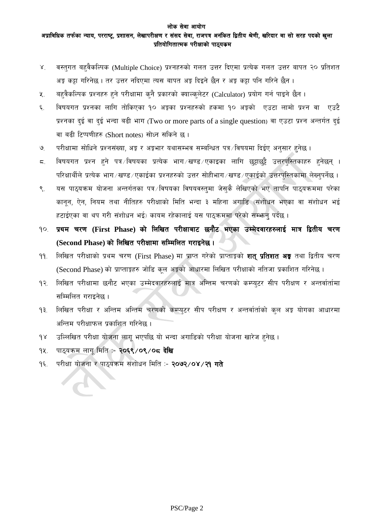#### लोक सेवा आयोग अप्राविधिक तर्फका न्याय, परराष्ट्र, प्रशासन, लेखापरीक्षण र संसद सेवा, राजपत्र अनंकित द्वितीय श्रेणी, खरिदार वा सो सरह पदको खुला प्रतियोगितात्मक परीक्षाको पाठ्यकम

- वस्तगत बहुवैकल्पिक (Multiple Choice) प्रश्नहरुको गलत उत्तर दिएमा प्रत्येक गलत उत्तर बापत २० प्रतिशत  $\chi$ अड़ू कड़ा गरिनेछ । तर उत्तर नदिएमा त्यस बापत अड़ू दिइने छैन र अड़ू कड़ा पनि गरिने छैन ।
- बहवैकल्पिक प्रश्नहरु हुने परीक्षामा कुनै प्रकारको क्याल्कुलेटर (Calculator) प्रयोग गर्न पाइने छैन ।  $\lambda$ .
- विषयगत प्रश्नका लागि तोकिएका १० अङ्कका प्रश्नहरुको हकमा १० अङ्को एउटा लामो प्रश्न वा एउटै  $\xi$ प्रश्नका दई वा दुई भन्दा बढी भाग (Two or more parts of a single question) वा एउटा प्रश्न अन्तर्गत दुई वा बढी टिप्पणीहरु (Short notes) सोध्न सकिने छ।
- परीक्षामा सोधिने प्रश्नसंख्या, अङ्कर अङ्कभार यथासम्भव सम्बन्धित पत्र ∕विषयमा दिईए अनुसार हुनेछ ।  $\mathcal{Q}$
- विषयगत प्रश्न हुने पत्र विषयका प्रत्येक भाग खण्ड एकाइका लागि छट्टाछुट्टै उत्तरपुस्तिकाहरु हुनेछन् ।  $\overline{\varsigma}$ . परिक्षार्थीले प्रत्येक भाग ⁄ खण्ड ⁄ एकाईका प्रश्नहरुको उत्तर सोहीभाग ⁄ खण्ड ⁄ एकाईको उत्तरपुस्तिकामा लेख्नुपर्नेछ ।
- यस पाठ्यक्रम योजना अन्तर्गतका पत्र विषयका विषयवस्तुमा जेसुकै लेखिएको भए तापनि पाठ्यक्रममा परेका  $\mathcal{R}_{\mathcal{L}}$ कानुन, ऐन, नियम तथा नीतिहरु परीक्षाको मिति भन्दा ३ महिना अगाडि (संशोधन भएका वा संशोधन भई हटाईएका वा थप गरी संशोधन भई) कायम रहेकालाई यस पाठ्कममा परेको सम्भान् पर्दछ ।
- १०. प्रथम चरण (First Phase) को लिखित परीक्षाबाट छनौट भएका उम्मेदवारहरुलाई मात्र द्वितीय चरण (Second Phase) को लिखित परीक्षामा सम्मिलित गराइनेछ।
- लिखित परीक्षाको प्रथम चरण (First Phase) मा प्राप्त गरेको प्राप्ताङ्गको **शत् प्रतिशत अङ्ग** तथा द्वितीय चरण  $99.$ (Second Phase) को प्राप्ताङ्कहरु जोडि कुल अङ्कको आधारमा लिखित परीक्षाको नतिजा प्रकाशित गरिनेछ।
- लिखित परीक्षामा छनौट भएका उम्मेदवारहरुलाई मात्र अन्तिम चरणको कम्प्युटर सीप परीक्षण र अन्तर्वार्तामा  $92.$ सम्मिलित गराइनेछ ।
- लिखित परीक्षा र अन्तिम अन्तिम चरणको कम्प्युटर सीप परीक्षण र अन्तर्वार्ताको कल अङ्ग योगका आधारमा  $93.$ अन्तिम परीक्षाफल प्रकाशित गरिनेछ ।
- उल्लिखित परीक्षा योजना लागू भएपछि यो भन्दा अगाडिको परीक्षा योजना खारेज हुनेछ।  $98$
- पाठ्यक्रम लागू मिति :- २०६९/०९/०८ देखि  $94.$
- परीक्षा योजना र पाठ्यक्रम संशोधन मिति :- २०७२/०४/२१ गते  $9\xi$ .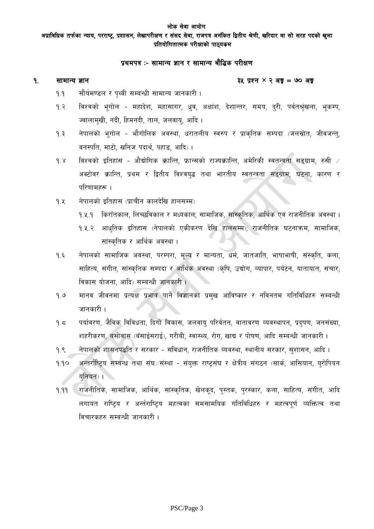अप्राविधिक तर्फका न्याय, परराष्ट्र, प्रशासन, लेखापरीक्षण र संसद सेवा, राजपत्र अनंकित द्वितीय श्रेणी, खरिदार वा सो सरह पदको खला प्रतियोगितात्मक परीक्षाको पाठ्यकम

## प्रथमपत्र :- सामान्य ज्ञान र सामान्य बौद्धिक परीक्षण

#### $9<sub>1</sub>$ सामान्य ज्ञान

#### ३५ प्रश्न  $\times$  २ अङ्क = ७० अङ्क

- सौर्यमण्डल र पथ्वी सम्बन्धी सामान्य जानकारी।  $9.9$
- $9.3$ विश्वको भूगोल - महादेश, महासागर, धव, अक्षांश, देशान्तर, समय, दरी, पर्वतश्रुखला, भूकम्प, ज्वालामुखी, नदी, हिमनदी, ताल, जलवाय, आदि ।
- $9.3$ नेपालको भूगोल - भौगोलिक अवस्था, धरातलीय स्वरुप र प्राकृतिक सम्पदा (जलस्रोत, जीवजन्तु, वनस्पति, माटो, खनिज पदार्थ, पहाड, आदि)।
- विश्वको इतिहास औद्योगिक क्रान्ति, फ्रान्सको राज्यक्रान्ति, अमेरिकी स्वतन्त्रता सङ्ग्राम, रुसी  $\neq$  $9.8$ अक्टोवर क्रान्ति, प्रथम र द्वितीय विश्वयुद्ध तथा भारतीय स्वतन्त्रता सङ्ग्राम; घटना, कारण र परिणामहरू ।
- नेपालको इतिहास (प्राचीन कालदेखि हालसम्म)  $9.4$ 
	- १.५.१ किराँतकाल, लिच्छविकाल र मध्यकाल; सामाजिक, सांस्कृतिक, आर्थिक एवं राजनीतिक अवस्था ।
	- १.५.२ आधुनिक इतिहास (नेपालको एकीकरण देखि हालसम्म); राजनीतिक घटनाक्रम, सामाजिक, सांस्कृतिक र आर्थिक अवस्था।
- नेपालको सामाजिक अवस्था, परम्परा, मुल्य र मान्यता, धर्म, जातजाति, भाषाभाषी, संस्कृति, कला,  $9.5$ साहित्य, संगीत, सांस्कृतिक सम्पदा र आर्थिक अवस्था (कृषि, उद्योग, व्यापार, पर्यटन, यातायात, संचार, विकास योजना, आदि) सम्बन्धी जानकारी ।
- मानव जीवनमा प्रत्यक्ष प्रभाव पार्ने विज्ञानका प्रमुख आविष्कार र नविनतम गतिविधिहरु सम्बन्धी  $9.9$ जानकारी ।
- पर्यावरण, जैविक विविधता, दिगो विकास, जलवाय् परिर्वतन, वातावरण व्यवस्थापन, प्रदुषण, जनसंख्या, 9. $5$ शहरीकरण, बसोवास (बँसाईसराई), गरीबी, स्वास्थ्य, रोग, खाद्य र पोषण, आदि सम्बन्धी जानकारी ।
- नेपालको शासनपद्धति र सरकार संविधान, राजनीतिक व्यवस्था, स्थानीय सरकार, सुशासन, आदि ।  $9.8$
- अन्तर्राष्टिय सम्बन्ध तथा संघ⁄संस्था संयुक्त राष्टसंघ र क्षेत्रीय संगठन (सार्क, आसियान, युरोपियन  $9.90$ यनियन्) ।
- राजनीतिक, सामाजिक, आर्थिक, सांस्कृतिक, खेलकूद, पुस्तक, पुरस्कार, कला, साहित्य, संगीत, आदि  $9.99$ लगायत राष्टिय र अर्न्तराष्टिय महत्वका समसामयिक गतिविधिहरु र महत्वपर्ण व्यक्तित्व तथा विचारकहरु सम्बन्धी जानकारी।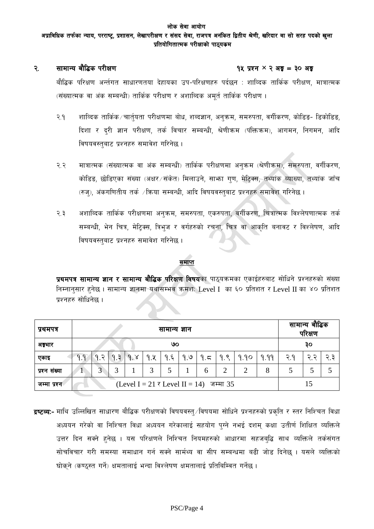#### लोक सेवा आयोग अप्राविधिक तर्फका न्याय, परराष्ट्र, प्रशासन, लेखापरीक्षण र संसद सेवा, राजपत्र अनंकित द्वितीय श्रेणी, खरिदार वा सो सरह पदको खला प्रतियोगितात्मक परीक्षाको पाठ्यकम

#### सामान्य बौद्धिक परीक्षण  $\mathcal{R}$ .

#### १५ प्रश्न  $\times$  २ अड़ = ३० अड़

बौद्धिक परिक्षण अर्न्तगत साधारणतया देहायका उप-परिक्षणहरु पर्दछन : शाव्दिक तार्किक परीक्षण, मात्रात्मक (संख्यात्मक वा अंक सम्बन्धी) तार्किक परीक्षण र अशाब्दिक अमुर्त तार्किक परीक्षण ।

- $\sqrt{2}$ . शाव्दिक तार्किक ⁄ चार्तयता परीक्षणमा बोध, शब्दज्ञान, अनुक्रम, समरुपता, वर्गीकरण, कोडिड- डिकोडिड, दिशा र दुरी ज्ञान परीक्षण, तर्क विचार सम्बन्धी, श्रेणीक्रम (पंक्तिक्रम), आगमन, निगमन, आदि विषयवस्तबाट प्रश्नहरु समावेश गरिनेछ ।
- मात्रात्मक (संख्यात्मक वा अंक सम्बन्धी) तार्किक परीक्षणमा अनक्रम (श्रेणीक्रम), समरुपता, वर्गीकरण,  $\mathcal{S}$ . २ कोडिड, छोडिएका संख्या (अक्षर/संकेत) मिलाउने, साभ्रा गण, मेटिक्स, तथ्यांक व्याख्या, तथ्यांक जाँच (रुज्), अंकगणितीय तर्क /किया सम्बन्धी, आदि विषयवस्तुबाट प्रश्नहरु समावेश गरिनेछ ।
- अशाब्दिक तार्किक परीक्षणमा अनुक्रम, समरुपता, एकरुपता, वर्गीकरण, चित्रात्मक विश्लेषणात्मक तर्क २.३ सम्बन्धी, भेन चित्र, मेटिक्स, त्रिभुज र वर्गहरुको रचना, चित्र वा आकृति बनावट र विश्लेषण, आदि विषयवस्तुबाट प्रश्नहरु समावेश गरिनेछ ।

#### समाप्त

प्रथमपत्र सामान्य ज्ञान र सामान्य बौद्धिक परिक्षण विषयका पाठयक्रमका एकाईहरुबाट सोधिने प्रश्नहरुको संख्या निम्नानुसार हुनेछ । सामान्य ज्ञानमा यथासम्भव क्रमश: Level I का ६० प्रतिशत र Level II का ४० प्रतिशत प्रश्नहरु सोधिनेछ ।

| प्रथमपत्र     | सामान्य ज्ञान |                                         |        |     |     |     |     |      | सामान्य बौद्धिक<br>परिक्षण |      |      |     |     |     |
|---------------|---------------|-----------------------------------------|--------|-----|-----|-----|-----|------|----------------------------|------|------|-----|-----|-----|
| अङ्गार        | ७०            |                                         |        |     |     |     |     |      |                            |      | ąо   |     |     |     |
| एकाइ          | 9.9           | ಾ<br>q                                  | 9.3    | 9.8 | 9.8 | 9.5 | 9.9 | م. ۹ | 9.8                        | 9.90 | 9.99 | 3.9 | ২ ২ | २ ३ |
| प्रश्न संख्या |               | ⌒<br>J.                                 | ⌒<br>ð |     | 3   |     |     | 6    | 2                          | າ    | 8    |     |     |     |
| जम्मा प्रश्न  |               | (Level I = 21 र Level II = 14) जम्मा 35 |        |     |     |     |     |      |                            |      |      |     |     |     |

**द्रष्टव्य:-** माथि उल्लिखित साधारण बौद्धिक परीक्षणको विषयवस्त् ∕विषयमा सोधिने प्रश्नहरुको प्रकृति र स्तर निश्चित विधा अध्ययन गरेको वा निश्चित विधा अध्ययन गरेकालाई सहयोग पग्ने नभई दशम् कक्षा उतीर्ण शिक्षित व्यक्तिले उत्तर दिन सक्ने हुनेछ । यस परिक्षणले निश्चित नियमहरुको आधारमा सहजबुद्धि साथ व्यक्तिले तर्कसंगत सोचविचार गरी समस्या समाधान गर्न सक्ने सार्मथ्य वा सीप सम्बन्धमा बढी जोड दिनेछ । यसले व्यक्तिको घोकने (कण्ठस्त गर्ने) क्षमतालाई भन्दा विश्लेषण क्षमतालाई प्रतिबिम्वित गर्नेछ ।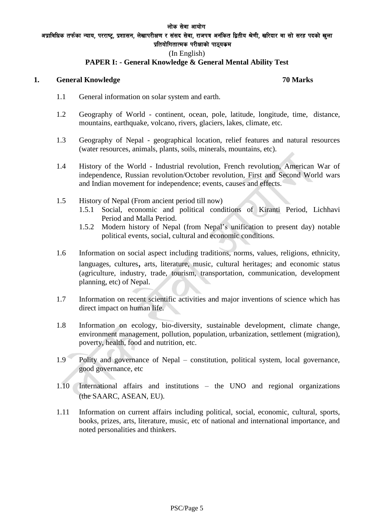अप्राविधिक तर्फका न्याय, परराष्ट, प्रशासन, लेखापरीक्षण र संसद सेवा, राजपत्र अनंकित द्वितीय श्रेणी, खरिदार वा सो सरह पदको खला प्रतियोगितात्मक परीक्षाको पाठ्यकम

#### (In English)

#### **PAPER I: - General Knowledge & General Mental Ability Test**

#### **1. General Knowledge 70 Marks**

- 1.1 General information on solar system and earth.
- 1.2 Geography of World continent, ocean, pole, latitude, longitude, time, distance, mountains, earthquake, volcano, rivers, glaciers, lakes, climate, etc.
- 1.3 Geography of Nepal geographical location, relief features and natural resources (water resources, animals, plants, soils, minerals, mountains, etc).
- 1.4 History of the World Industrial revolution, French revolution, American War of independence, Russian revolution/October revolution, First and Second World wars and Indian movement for independence; events, causes and effects.
- 1.5 History of Nepal (From ancient period till now)
	- 1.5.1 Social, economic and political conditions of Kiranti Period, Lichhavi Period and Malla Period.
	- 1.5.2 Modern history of Nepal (from Nepal's unification to present day) notable political events, social, cultural and economic conditions.
- 1.6 Information on social aspect including traditions, norms, values, religions, ethnicity, languages, cultures, arts, literature, music, cultural heritages; and economic status (agriculture, industry, trade, tourism, transportation, communication, development planning, etc) of Nepal.
- 1.7 Information on recent scientific activities and major inventions of science which has direct impact on human life.
- 1.8 Information on ecology, bio-diversity, sustainable development, climate change, environment management, pollution, population, urbanization, settlement (migration), poverty, health, food and nutrition, etc.
- $1.9$  Polity and governance of Nepal constitution, political system, local governance, good governance, etc
- 1.10 International affairs and institutions the UNO and regional organizations (the SAARC, ASEAN, EU).
- 1.11 Information on current affairs including political, social, economic, cultural, sports, books, prizes, arts, literature, music, etc of national and international importance, and noted personalities and thinkers.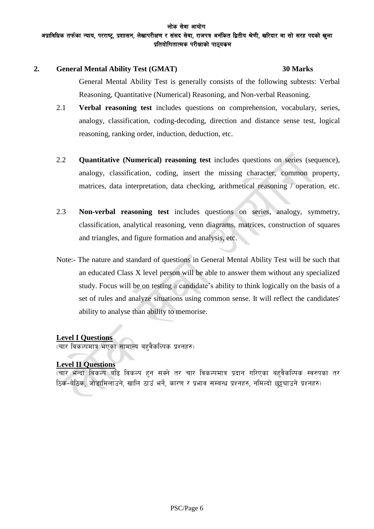#### लोक सेवा आयोग अप्राविधिक तर्फका न्याय, परराष्ट, प्रशासन, लेखापरीक्षण र संसद सेवा, राजपत्र अनंकित द्वितीय श्रेणी, खरिदार वा सो सरह पदको खला प्रतियोगितात्मक परीक्षाको पाठ्यकम

#### **2. General Mental Ability Test (GMAT) 30 Marks**

General Mental Ability Test is generally consists of the following subtests: Verbal Reasoning, Quantitative (Numerical) Reasoning, and Non-verbal Reasoning.

- 2.1 **Verbal reasoning test** includes questions on comprehension, vocabulary, series, analogy, classification, coding-decoding, direction and distance sense test, logical reasoning, ranking order, induction, deduction, etc.
- 2.2 **Quantitative (Numerical) reasoning test** includes questions on series (sequence), analogy, classification, coding, insert the missing character, common property, matrices, data interpretation, data checking, arithmetical reasoning / operation, etc.
- 2.3 **Non-verbal reasoning test** includes questions on series, analogy, symmetry, classification, analytical reasoning, venn diagrams, matrices, construction of squares and triangles, and figure formation and analysis, etc.
- Note:- The nature and standard of questions in General Mental Ability Test will be such that an educated Class X level person will be able to answer them without any specialized study. Focus will be on testing a candidate's ability to think logically on the basis of a set of rules and analyze situations using common sense. It will reflect the candidates' ability to analyse than ability to memorise.

## **Level I Questions**

(चार विकल्पमात्र भएका सामान्य बहवैकल्पिक प्रश्नहरु)

## **Level II Questions**

(चार भन्दा विकल्प बढि विकल्प हुन सक्ने तर चार विकल्पमात्र प्रदान गरिएका बहुवैकल्पिक स्वरुपका तर bक-बेठिक, जोडामिलाउने, खालि ठाउँ भर्ने, कारण र प्रभाव सम्बन्ध प्रश्नहरु, नमिल्दो छट्ट्याउने प्रश्नहरु)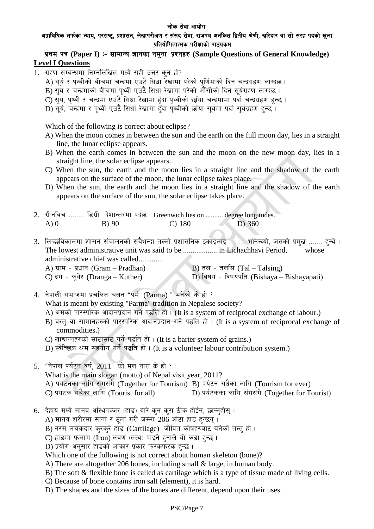#### अप्राविधिक तर्फका न्याय, परराष्ट्र, प्रशासन, लेखापरीक्षण र संसद सेवा, राजपत्र अनंकित द्वितीय श्रेणी, खरिदार वा सो सरह पदको खुला प्रतियोगितात्मक परीक्षाको पाठयकम

## प्रथम पत्र (Paper I) :- सामान्य ज्ञानका नमना प्रश्नहरु (Sample Ouestions of General Knowledge) **Level I Questions**

- 1. ग्रहण सम्बन्धमा निम्नलिखित मध्ये सही उत्तर कुन हो?
	- A) सूर्य र पृथ्वीको बीचमा चन्द्रमा एउटै सिधा रेखामा परेको पुर्णिमाको दिन चन्द्रग्रहण लाग्दछ ।
	- $\, {\bf B}) \,$ सर्य र चन्द्रमाको बीचमा पथ्वी एउटै सिधा रेखामा परेको औंसीको दिन सर्यग्रहण लाग्दछ ।
	- $\hat{\mathbf{C}}$ ) सर्य, पथ्वी र चन्द्रमा एउटै सिधा रेखामा हुँदा पृथ्वीको छाँया चन्द्रमामा पर्दो चन्द्रग्रहण हुन्छ ।
	- D) सर्य, चन्द्रमा र पथ्वी एउटै सिधा रेखामा हुँदा पथ्वीको छाँया सर्यमा पर्दा सर्यग्रहण हुन्छ ।

Which of the following is correct about eclipse?

- A) When the moon comes in between the sun and the earth on the full moon day, lies in a straight line, the lunar eclipse appears.
- B) When the earth comes in between the sun and the moon on the new moon day, lies in a straight line, the solar eclipse appears.
- C) When the sun, the earth and the moon lies in a straight line and the shadow of the earth appears on the surface of the moon, the lunar eclipse takes place.
- D) When the sun, the earth and the moon lies in a straight line and the shadow of the earth appears on the surface of the sun, the solar eclipse takes place.
- 2. u|Lgljr ======== l8u|L b]zfGt/df kb{5 . Greenwich lies on .......... degree longitudes. A) 0 B) 90 C) 180 D) 360
- 3. लिच्छविकालमा शासन संचालनको सबैभन्दा तल्लो प्रशासनिक इकाईलाई ....... भनिन्थ्यो, जसको प्रमुख ....... हन्थे । The lowest administrative unit was said to be .................. in Lichachhavi Period, whose administrative chief was called............. A) ग्राम - प्रधान (Gram – Pradhan) B) तल - तलसिं (Tal – Talsing)<br>C) द्रंग - कथेर (Dranga – Kuther) D) विषय - विषयपति (Bishaya –
	-
- 

D) विषय - विषयपति (Bishaya – Bishayapati)

 $4.$  नेपाली समाजमा प्रचलित चलन "पर्म (Parma) " भनेको के हो ? What is meant by existing "Parma" tradition in Nepalese society?

- A) श्रमको पारस्परिक आदानप्रदान गर्ने पद्धति हो। (It is a system of reciprocal exchange of labour.)
- B) वस्तु वा सामानहरुको पारस्परिक आदानप्रदान गर्ने पद्धति हो। (It is a system of reciprocal exchange of commodities.)
- C) खाद्यान्नहरुको साटासाट गर्ने पद्धति हो। (It is a barter system of grains.)
- D) स्वेच्छिक श्रम सहयोग गर्ने पद्धति हो। (It is a volunteer labour contribution system.)
- 5. "नेपाल पर्यटन वर्ष,  $2011$ " को मूल नारा के हो ? What is the main slogan (motto) of Nepal visit year, 2011? A) ko{6gsf nflu ;Fu;Fu}(Together for Tourism) B) ko{6g ;w}sf nflu (Tourism for ever) D) पर्यटकका लागि सँगसँगै (Together for Tourist)
- 6. देहाय मध्ये मानव अस्थिपञ्जर (हाड) बारे कन करा ठीक होईन, छान्नुहोस् ।
	- A) मानव शरीरमा साना र ठूला गरी जम्मा 206 ओटा हाड हुन्छन्।
	- B) नरम लचकदार क्रक्रे हाड (Cartilage) जीवित कोषहरुबाट बनेको तन्तु हो।
	- $C$ ) हाडमा फलाम (Iron) लवण (तत्व) पाइने हनाले यो कडा हन्छ।
	- D) प्रयोग अनुसार हाडको आकार प्रकार फरकफरक हुन्छ ।

Which one of the following is not correct about human skeleton (bone)?

- A) There are altogether 206 bones, including small & large, in human body.
- B) The soft & flexible bone is called as cartilage which is a type of tissue made of living cells.
- C) Because of bone contains iron salt (element), it is hard.
- D) The shapes and the sizes of the bones are different, depend upon their uses.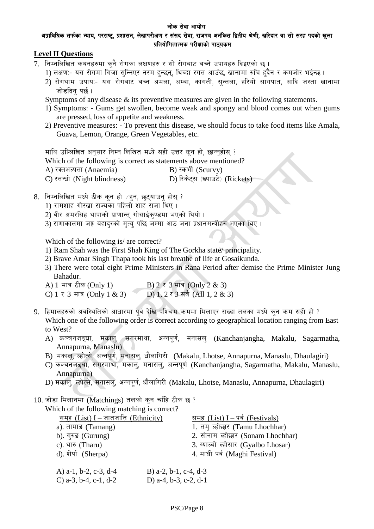#### अप्राविधिक तर्फका न्याय, परराष्ट, प्रशासन, लेखापरीक्षण र संसद सेवा, राजपत्र अनंकित द्वितीय श्रेणी, खरिदार वा सो सरह पदको खला प्रतियोगितात्मक परीक्षाको पाठ्यकम

#### **Level II Questions**

- 7. निम्नलिखित कथनहरुमा कुनै रोगका लक्षणहरु र सो रोगबाट बच्ने उपायहरु दिइएको छ।
	- 1) लक्षण:- यस रोगमा गिजा सन्निएर नरम हुन्छन, थिच्दा रगत आउँछ, खानामा रुचि हदैन र कमजोर भईन्छ ।
	- 2) रोगथाम उपाय:- यस रोगबाट बच्न अमला, अम्बा, कागती, सन्तला, हरियो सागपात, आदि जस्ता खानामा जोडदिन पर्छ ।

Symptoms of any disease & its preventive measures are given in the following statements.

- 1) Symptoms: Gums get swollen, become weak and spongy and blood comes out when gums are pressed, loss of appetite and weakness.
- 2) Preventive measures: To prevent this disease, we should focus to take food items like Amala, Guava, Lemon, Orange, Green Vegetables, etc.

माथि उल्लिखित अनुसार निम्न लिखित मध्ये सही उत्तर कुन हो, छान्नुहोस् ?

Which of the following is correct as statements above mentioned?

A) रक्तअल्पता (Anaemia)  $B$ ) स्कर्भी (Scurvy)

 $\overline{C}$ ) रतन्धो (Night blindness)  $\overline{D}$ ) रिकेटस (ख्याउटे) (Rickets)

- $8.$  निम्नलिखित मध्ये ठीक कुन हो  $/$ हुन, छुट्याउन होस् ?
	- 1) रामशाह गोरखा राज्यका पहिलो शाह राजा थिए ।
	- $2$ ) वीर अमरसिंह थापाको प्राणान्तु गोसाईकण्डमा भएको थियो ।
	- 3) राणाकालमा जङ्ग बहादरको मत्य पछि जम्मा आठ जना प्रधानमन्त्रीहरु भएका थिए ।

Which of the following is/ are correct?

- 1) Ram Shah was the First Shah King of The Gorkha state/ principality.
- 2) Brave Amar Singh Thapa took his last breathe of life at Gosaikunda.
- 3) There were total eight Prime Ministers in Rana Period after demise the Prime Minister Jung Bahadur.
- A) 1 मात्र ठीक (Only 1) B) 2 र 3 मात्र (Only 2 & 3)<br>C) 1 र 3 मात्र (Only 1 & 3) D) 1, 2 र 3 सबै (All 1, 2 & 3)
- C) 1  $\bar{x}$  3 मात्र (Only 1 & 3)
- 9. हिमालहरुको अवस्थितिको आधारमा पर्व देखि पश्चिम क्रममा मिलाएर राख्दा तलका मध्ये कुन कम सही हो ? Which one of the following order is correct according to geographical location ranging from East to West?
	- A) कञ्चनजङ्घा, मकाल, सगरमाथा, अन्नपूर्ण, मनासल् (Kanchanjangha, Makalu, Sagarmatha, Annapurna, Manaslu)
	- B) मकाल, ल्होत्से, अन्नपूर्ण, मनासल, धौलागिरी (Makalu, Lhotse, Annapurna, Manaslu, Dhaulagiri)
	- C) कञ्चनजङ्घा, सगरमाथा, मकाल, मनासल, अन्नपूर्ण (Kanchanjangha, Sagarmatha, Makalu, Manaslu, Annapurna)
	- D) मकाल, ल्होत्से, मनासल, अन्नपर्ण, धौलागिरी (Makalu, Lhotse, Manaslu, Annapurna, Dhaulagiri)

 $10.$  जोड़ा मिलानमा (Matchings) तलको कुन चाँहि ठीक छ ?

Which of the following matching is correct?

| समूह (List) I – जातजाति (Ethnicity) |                       | समूह (List) I - पर्व (Festivals)    |
|-------------------------------------|-----------------------|-------------------------------------|
| a). तामाङ (Tamang)                  |                       | 1. तम् ल्होछार (Tamu Lhochhar)      |
| b). गुरुङ (Gurung)                  |                       | 2. सोनाम ल्होछार (Sonam Lhochhar)   |
| c). थारु (Tharu)                    |                       | 3. ग्याल्बो ल्होसार (Gyalbo Lhosar) |
| d). शेर्पा (Sherpa)                 |                       | 4. माघी पर्व (Maghi Festival)       |
| A) $a-1$ , $b-2$ , $c-3$ , $d-4$    | B) a-2, b-1, c-4, d-3 |                                     |
| C) a-3, b-4, c-1, d-2               | D) a-4, b-3, c-2, d-1 |                                     |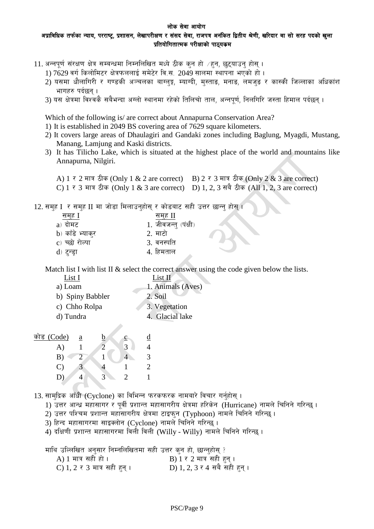#### लोक सेवा आयोग अप्राविधिक तर्फका न्याय, परराष्ट, प्रशासन, लेखापरीक्षण र संसद सेवा, राजपत्र अनंकित द्वितीय श्रेणी, खरिदार वा सो सरह पदको खला प्रतियोगितात्मक परीक्षाको पाठ्यकम

- 11. अन्नपूर्ण संरक्षण क्षेत्र सम्बन्धमा निम्नलिखित मध्ये ठीक कुन हो /हून, छुटयाउन होसू ।
	- 1) 7629 वर्ग किलोमिटर क्षेत्रफललाई समेटेर वि.स. 2049 सालमा स्थापना भएको हो ।
	- 2) यसमा धौलागिरी र गण्डकी अञ्चलका बाग्लङ्ग, म्याग्दी, मस्ताङ्, मनाङ्, लमजङ् र कास्की जिल्लाका अधिकांश भागहरु पर्दछन ।
	- 3) यस क्षेत्रमा विश्वकै सबैभन्दा अग्लो स्थानमा रहेको तिलिचो ताल, अन्नपर्ण, निलगिरि जस्ता हिमाल पर्दछन ।

Which of the following is/ are correct about Annapurna Conservation Area?

- 1) It is established in 2049 BS covering area of 7629 square kilometers.
- 2) It covers large areas of Dhaulagiri and Gandaki zones including Baglung, Myagdi, Mustang, Manang, Lamjung and Kaski districts.
- 3) It has Tilicho Lake, which is situated at the highest place of the world and mountains like Annapurna, Nilgiri.

| A) 1 र 2 मात्र ठीक (Only 1 & 2 are correct) B) 2 र 3 मात्र ठीक (Only 2 & 3 are correct)  |  |
|------------------------------------------------------------------------------------------|--|
| C) 1 र 3 मात्र ठीक (Only 1 & 3 are correct) D) 1, 2, 3 सबै ठीक (All 1, 2, 3 are correct) |  |

12. सम्ह I र सम्ह II मा जोडा मिलाउन्होस् र कोडबाट सही उत्तर छान्न् होस् ।

| सम्ह I           | सम्ह II              |
|------------------|----------------------|
| a) दोमट          | 1. जीवजन्तु (पंक्षी) |
| b) काँडे भ्याक्र | 2. माटो              |
| c) च्छो रोल्पा   | 3. वनस्पति           |
| d) टुन्ड्रा      | 4. हिमताल            |

Match list I with list II  $&$  select the correct answer using the code given below the lists.

| List I           | List II           |
|------------------|-------------------|
| a) Loam          | 1. Animals (Aves) |
| b) Spiny Babbler | 2. Soil           |
| c) Chho Rolpa    | 3. Vegetation     |
| d) Tundra        | 4. Glacial lake   |
|                  |                   |

| कोड (Code)            | а |   |  |
|-----------------------|---|---|--|
| A)                    |   | 3 |  |
| B)                    |   |   |  |
| $\mathbf{C}^{\prime}$ |   |   |  |
|                       |   |   |  |

13. सामुद्रिक आँधी (Cyclone) का विभिन्न फरकफरक नामबारे विचार गर्नुहोस् ।

- 1) उत्तर आन्ध्र महासागर र पूर्वी प्रशान्त महासागरीय क्षेत्रमा हरिकेन (Hurricane) नामले चिनिने गरिन्छ ।
- 2) उत्तर पश्चिम प्रशान्त महासागरीय क्षेत्रमा टाइफुन (Typhoon) नामले चिनिने गरिन्छ ।
- 3) हिन्द महासागरमा साइक्लोन (Cyclone) नामले चिनिने गरिन्छ।
- 4) दक्षिणी प्रशान्त महासागरमा विली विली (Willy Willy) नामले चिनिने गरिन्छ ।

माथि उल्लिखित अनुसार निम्नलिखितमा सही उत्तर कन हो, छान्नुहोस् ?

| A) 1 मात्र सही हो ।          | B) 1 र 2 मात्र सही हुन्।     |
|------------------------------|------------------------------|
| C) 1, 2 र 3 मात्र सही हुन् । | D) 1, 2, 3 र 4 सबै सही हुन्। |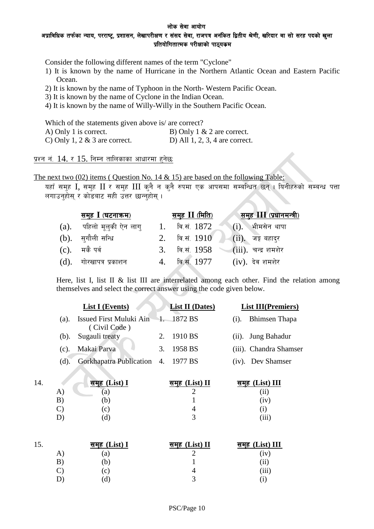#### अप्राविधिक तर्फका न्याय, परराष्ट्र, प्रशासन, लेखापरीक्षण र संसद सेवा, राजपत्र अनंकित द्वितीय श्रेणी, खरिदार वा सो सरह पदको खुला प्रतियोगितात्मक परीक्षाको पाठ्यकम

Consider the following different names of the term "Cyclone"

- 1) It is known by the name of Hurricane in the Northern Atlantic Ocean and Eastern Pacific Ocean.
- 2) It is known by the name of Typhoon in the North- Western Pacific Ocean.
- 3) It is known by the name of Cyclone in the Indian Ocean.
- 4) It is known by the name of Willy-Willy in the Southern Pacific Ocean.

Which of the statements given above is/ are correct?

| A) Only 1 is correct.            | B) Only $1 \& 2$ are correct.    |
|----------------------------------|----------------------------------|
| C) Only 1, 2 $\&$ 3 are correct. | D) All $1, 2, 3, 4$ are correct. |

प्रश्न नं.  $14.$  र  $15.$  निम्न तालिकाका आधारमा हुनेछ:

The next two  $(02)$  items (Question No. 14 & 15) are based on the following Table:

यहाँ सम्ह $\rm{I,}$  सम्ह $\rm{II}$  र सम्ह $\rm{III}$  कुनै न कुनै रुपमा एक आपसमा सम्बन्धित छन् । यिनीहरुको सम्बन्ध पत्ता लगाउनहोस् र कोडबाट सही उत्तर छान्नहोस् ।

|         | समुह <b>I</b> (घटनाक्रम) |                | <u>समुह II (मि</u> ति) | <u>समुह III (प्रधान</u> मन्त्री)           |
|---------|--------------------------|----------------|------------------------|--------------------------------------------|
| (a).    | पहिलो मूलुकी ऐन लागु     | $\mathbf{I}$ . | वि.सं. 1872            | $\lnot(i)$ .<br>ेभीमसेन थापा               |
| $(b)$ . | सगौली सन्धि              |                | वि.सं. $1910$          | $\overline{\phantom{a}}$ (ii). जङ्ग बहादुर |
| $(c)$ . | मके पर्व                 | 3.             | वि.सं. 1958            | $(iii)$ . चन्द्र शमशेर                     |
| (d).    | गोरखापत्र प्रकाशन        |                | <u>वि.सं. 1977</u>     | $(iv)$ . देव शमशेर                         |

Here, list I, list II & list III are interrelated among each other. Find the relation among themselves and select the correct answer using the code given below.

|         | <b>List I</b> (Events)                             | <b>List II</b> (Dates) |         | <b>List III(Premiers)</b> |
|---------|----------------------------------------------------|------------------------|---------|---------------------------|
| (a).    | Issued First Muluki Ain 1. 1872 BS<br>(Civil Code) |                        | $(i)$ . | Bhimsen Thapa             |
|         | (b). Sugauli treaty                                | 2. 1910 BS             |         | (ii). Jung Bahadur        |
| $(c)$ . | Makai Parva                                        | 3. 1958 BS             |         | (iii). Chandra Shamser    |
| (d).    | Gorkhapatra Publication 4. 1977 BS                 |                        |         | (iv). Dev Shamser         |

| 14. |               | समूह (List) I | समूह (List) II | समुह (List) III     |
|-----|---------------|---------------|----------------|---------------------|
|     | $\mathbf{A})$ | <sub>a</sub>  |                | 11)                 |
|     | B             | b.            |                | (1V)                |
|     |               | $\mathbf{C}$  |                |                     |
|     |               | ʻd,           | ັ              | , <b>.</b> .<br>111 |

| 15.       | समूह (List) I | समूह (List) II | <u>समूह (List)</u> III |
|-----------|---------------|----------------|------------------------|
| A)        | a)            |                | (iv)                   |
| B)        | b)            |                | $\rm (ii)$             |
| C)        | $\mathbf{C}$  |                | (iii)                  |
| <u>יט</u> | d)            |                |                        |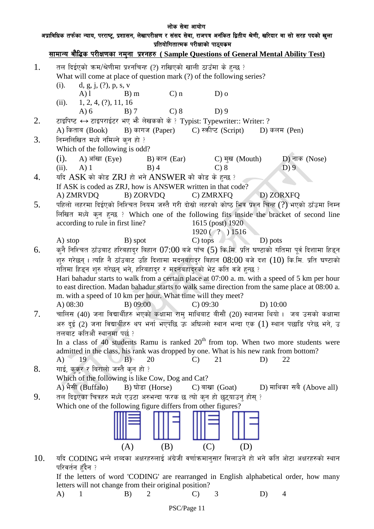# लोक सेवा आयोग अप्राविधिक तर्फका न्याय, परराष्ट्र, प्रशासन, लेखापरीक्षण र संसद सेवा, राजपत्र अनंकित द्वितीय श्रेणी, खरिदार वा सो सरह पदको खुला प्रतियोगितात्मक परीक्षाको पाठ्यकम सामान्य बौद्धिक परीक्षणका नमुना प्रश्नहरु ( Sample Questions of General Mental Ability Test)  $1.$  तल दिईएको कम/श्रेणीमा प्रश्नचिन्ह (?) राखिएको खाली ठाउँमा के हुन्छ ? What will come at place of question mark (?) of the following series? (i). d, g, j,  $(?), p, s, v$ A) l B) m C) n D) o (ii).  $1, 2, 4, (?)$ , 11, 16 A) 6 B) 7 C) 8 D) 9 2. टाइपिष्ट  $\leftrightarrow$  टाइपराईटर भए भौ लेखकको के ? Typist: Typewriter:: Writer: ? A) किताब (Book) B) कागज (Paper) C) स्क्रीप्ट (Script) D) कलम (Pen)  $3.$  निम्नलिखित मध्ये नमिल्ने कुन हो ? Which of the following is odd? (i). A) आँखा (Eye) B) कान (Ear) C) मुख (Mouth) D) नाक (Nose) (ii). A) 1 B) 4 C) 8 D) 9 4. यदि  $ASK$  को कोड  $ZRJ$  हो भने  $ANSWER$  को कोड के हुन्छ ? If ASK is coded as ZRJ, how is ANSWER written in that code? A) ZMRVDQ B) ZORVDQ C) ZMRXFQ D) ZORXFQ  $5.$  पहिलो लहरमा दिईएको निश्चित नियम जस्तै गरी दोस्रो लहरको कोष्ठ भित्र प्रश्न चिन्ह (?) भएको ठाँउमा निम्न लिखित मध्ये कुन हुन्छ ? Which one of the following fits inside the bracket of second line according to rule in first line? 1615 (post) 1920 according to rule in first line? 1920 ( ? ) 1516 A) stop B) spot C) tops D) pots 6. कर्ने निश्चित ठाँउबाट हरिबहादुर बिहान  $07:00$  बजे पाँच (5) कि.मि. प्रति घण्टाको गतिमा पूर्व दिशामा हिड्न शुरु गरेछन् । त्यहि नै ठाँउबाट उहि दिशामा मदनबहादर बिहान  $08:00$  बजे दश  $(10)$  कि.मि. प्रति घण्टाको गतिमा हिड्न शुरु गरेछन् भने, हरिबहादुर र मदनबहादुरको भेट कति वजे हुन्छ ? Hari bahadur starts to walk from a certain place at 07:00 a. m. with a speed of 5 km per hour to east direction. Madan bahadur starts to walk same direction from the same place at 08:00 a. m. with a speed of 10 km per hour. What time will they meet? A) 08:30 B) 09:00 C) 09:30 D) 10:00  $7.$  antight; (40) जना विद्यार्थीहरु भएको कक्षामा राम माथिबाट बीसौं (20) स्थानमा थियो । जब उसको कक्षामा अरु दुई (2) जना विद्यार्थीहरु थप भर्ना भएपछि ऊ अघिल्लो स्थान भन्दा एक (1) स्थान पछाडि परेछ भने, उ तलबाट कतिऔं स्थानमा पर्छ ? In a class of 40 students Ramu is ranked  $20<sup>th</sup>$  from top. When two more students were admitted in the class, his rank was dropped by one. What is his new rank from bottom? A) 19 B) 20 C) 21 D) 22  $8.$  unf, ककर र बिरालो जस्तै कन हो ? Which of the following is like Cow, Dog and Cat? A) भैसी (Buffalo) B) घोडा (Horse) C) बाखा (Goat) D) माथिका सबै (Above all)  $9.$  तल दिइएका चित्रहरु मध्ये एउटा अरुभन्दा फरक छ त्यो कुन हो छुट्याउन् होस् ? Which one of the following figure differs from other figures? (A) (B) (C) (D)  $10.$  af CODING भन्ने शब्दका अक्षरहरुलाई अंग्रेजी वर्णाक्रमानसार मिलाउने हो भने कति ओटा अक्षरहरुको स्थान परिवर्तन हँदैन ?

If the letters of word 'CODING' are rearranged in English alphabetical order, how many letters will not change from their original position?

A) 1 B) 2 C) 3 D) 4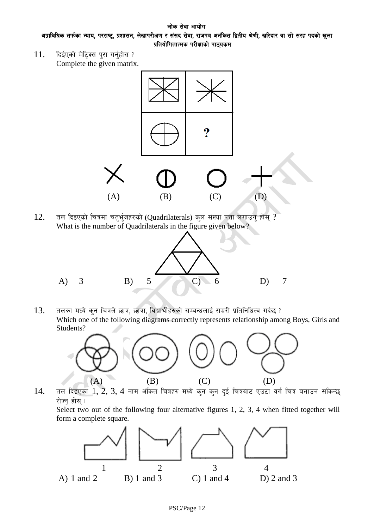#### लोक सेवा आयोग अप्राविधिक तर्फका न्याय, परराष्ट्र, प्रशासन, लेखापरीक्षण र संसद सेवा, राजपत्र अनंकित द्वितीय श्रेणी, खरिदार वा सो सरह पदको खुला प्रतियोगितात्मक परीक्षाको पाठ्यकम

 $11.$  दिईएको मेटिक्स पुरा गर्नुहोस ? Complete the given matrix.



 $12.$  तल दिइएको चित्रमा चतुर्भुजहरुको (Quadrilaterals) कुल संख्या पत्ता लगाउन होस् ? What is the number of Quadrilaterals in the figure given below?



 $13.$  तलका मध्ये कुन चित्रले छात्र, छात्रा, विद्यार्थीहरुको सम्बन्धलाई राम्ररी प्रतिनिधित्व गर्दछ ? Which one of the following diagrams correctly represents relationship among Boys, Girls and Students?



 $14.$  तल दिइएका  $1, 2, 3, 4$  नाम अंकित चित्रहरु मध्ये कुन कुन दुई चित्रबाट एउटा वर्ग चित्र बनाउन सकिन्छ रोज्न् होस् ।

Select two out of the following four alternative figures 1, 2, 3, 4 when fitted together will form a complete square.

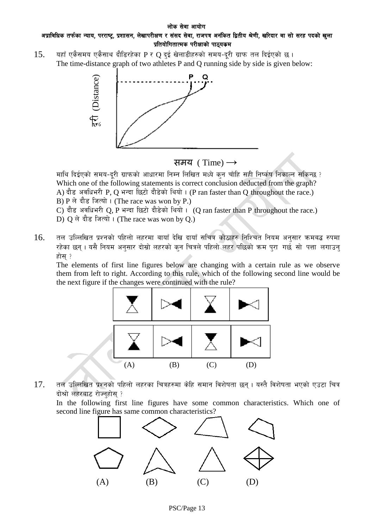#### लोक सेवा आयोग अप्राविधिक तर्फका न्याय, परराष्ट्र, प्रशासन, लेखापरीक्षण र संसद सेवा, राजपत्र अनंकित द्वितीय श्रेणी, खरिदार वा सो सरह पदको खला प्रतियोगितात्मक परीक्षाको पाठ्यकम

 $15.$  यहाँ एकैसमय एकैसाथ दौडिरहेका P र Q दई खेलाडीहरुको समय-दुरी ग्राफ तल दिईएको छ । The time-distance graph of two athletes P and Q running side by side is given below:





माथि दिईएको समय-दरी ग्राफको आधारमा निम्न लिखित मध्ये कुन चाँहि सही निर्ष्कष निकाल्न सकिन्छ ? Which one of the following statements is correct conclusion deducted from the graph? A) दौड़ अवधिभरी P, Q भन्दा छिटो दौड़ेको थियो। (P ran faster than Q throughout the race.) B) P ले दौड़ जित्यो। (The race was won by P.) C) दौड़ अवधिभरी Q, P भन्दा छिटो दौड़ेको थियो। (Q ran faster than P throughout the race.)

- D)  $Q$  ले दौड जित्यो। (The race was won by Q.)
- $16.$  तल उल्लिखित प्रश्नको पहिलो लहरमा बायाँ देखि दायाँ सचित्र कोठाहरु निश्चित नियम अनुसार क्रमबद्ध रुपमा रहेका छन् । यसै नियम अनुसार दोस्रो लहरको कुन चित्रले पहिलो लहर पछिको क्रम पुरा गर्छ सो पत्ता लगाउन् होस $;$

The elements of first line figures below are changing with a certain rule as we observe them from left to right. According to this rule, which of the following second line would be the next figure if the changes were continued with the rule?



 $17.$  तल उल्लिखित प्रश्नको पहिलो लहरका चित्रहरुमा केहि समान विशेषता छन्। यस्तै विशेषता भएको एउटा चित्र दोश्रो लहरबाट रोज्नहोस $\,$  ?

In the following first line figures have some common characteristics. Which one of second line figure has same common characteristics?

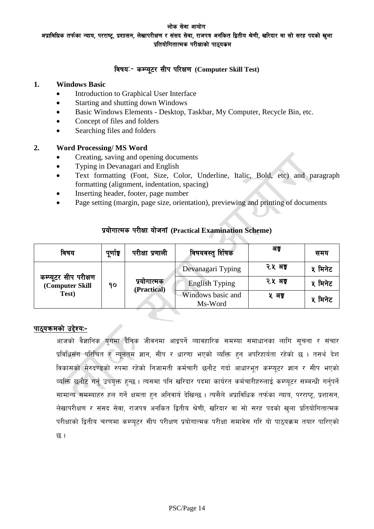अप्राविधिक तर्फका न्याय, परराष्ट, प्रशासन, लेखापरीक्षण र संसद सेवा, राजपत्र अनंकित द्वितीय श्रेणी, खरिदार वा सो सरह पदको खला प्रतियोगितात्मक परीक्षाको पाठ्यकम

## विषय:- कम्प्युटर सीप परिक्षण (Computer Skill Test)

#### **1. Windows Basic**

- Introduction to Graphical User Interface
- Starting and shutting down Windows
- Basic Windows Elements Desktop, Taskbar, My Computer, Recycle Bin, etc.
- Concept of files and folders
- Searching files and folders

#### **2. Word Processing/ MS Word**

- Creating, saving and opening documents
- Typing in Devanagari and English
- Text formatting (Font, Size, Color, Underline, Italic, Bold, etc) and paragraph formatting (alignment, indentation, spacing)
- Inserting header, footer, page number
- Page setting (margin, page size, orientation), previewing and printing of documents

| विषय                                     | पूर्णाङ्क                        | परीक्षा प्रणाली   | विषयवस्तु र्शिषक             | अङ्क    | समय     |
|------------------------------------------|----------------------------------|-------------------|------------------------------|---------|---------|
|                                          | प्रयोगात्मक<br>90<br>(Practical) | Devanagari Typing | २.५ अङ्                      | ५ मिनेट |         |
| कम्प्यूटर सीप परीक्षण<br>(Computer Skill |                                  |                   | <b>English Typing</b>        | २.५ अङ् | ५ मिनेट |
| Test)                                    |                                  |                   | Windows basic and<br>Ms-Word | ५ अङ्   | ५ मिनेट |

## k|of]ufTds k/LIff of]hgf **(Practical Examination Scheme)**

#### पाठ्यक्रमको उद्देश्य:-

आजको वैज्ञानिक युगमा दैनिक जीवनमा आइपर्ने व्यावहारिक समस्या समाधानका लागि सूचना र संचार <u>प्रविधिसँग परिचित र न्यनतम ज्ञान, सीप र धारणा भएको व्यक्ति हुन अपरिहार्यता रहेको छ । तसर्थ देश :</u> विकासको मेरुदण्डको रुपमा रहेको निजामती कर्मचारी छनौट गर्दा आधारभत कम्प्यटर ज्ञान र सीप भएको व्यक्ति छनौट गर्न उपयक्त हुन्छ । त्यसमा पनि खरिदार पदमा कार्यरत कर्मचारीहरुलाई कम्प्युटर सम्बन्धी गर्नुपर्ने सामान्य समस्याहरु हल गर्ने क्षमता हुन अनिवार्य देखिन्छ । त्यसैले अप्राविधिक तर्फका न्याय, परराष्ट्, प्रशासन, लेखापरीक्षण र संसद सेवा, राजपत्र अनंकित द्वितीय श्रेणी, खरिदार वा सो सरह पदको खुला प्रतियोगितात्मक परीक्षाको द्वितीय चरणमा कम्प्यूटर सीप परीक्षण प्रयोगात्मक परीक्षा समावेस गरि यो पाठ्यक्रम तयार पारिएको छ ।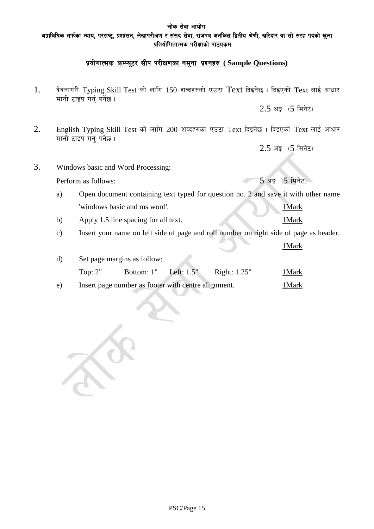अप्राविधिक तर्फका न्याय, परराष्ट्र, प्रशासन, लेखापरीक्षण र संसद सेवा, राजपत्र अनंकित द्वितीय श्रेणी, खरिदार वा सो सरह पदको खुला प्रतियोगितात्मक परीक्षाको पाठ्यकम

# <u>प्रयोगात्मक कम्प्यूटर सीप परीक्षणका नमुना प्रश्नहरु ( Sample Questions)</u>

1. देवनागरी Typing Skill Test को लागि 150 शब्दहरुको एउटा Text दिइनेछ। दिइएको Text लाई आधार मानी टाइप गर्न् पर्नेछ।

 $2.5$  अङ़  $(5 \text{ }\hat{H}$ नेट)

2. English Typing Skill Test को लागि 200 शब्दहरुका एउटा Text दिइनेछ। दिइएको Text लाई आधार मानी टाइप गर्न पर्नेछ।

 $2.5$  अङ्क $(5$  मिनेट)

3. Windows basic and Word Processing:

Perform as follows:  $5 \times 5$   $\sqrt{5}$   $\sqrt{1 + 7}$ 

- a) Open document containing text typed for question no. 2 and save it with other name 'windows basic and ms word'. 1Mark
- b) Apply 1.5 line spacing for all text. 1Mark
- c) Insert your name on left side of page and roll number on right side of page as header.

|    |                                                     |                             |              |              | $1$ Mark |
|----|-----------------------------------------------------|-----------------------------|--------------|--------------|----------|
| d) |                                                     | Set page margins as follow: |              |              |          |
|    | Top: $2"$                                           | Bottom: 1"                  | Left: $1.5"$ | Right: 1.25" | 1 Mark   |
| e) | Insert page number as footer with centre alignment. |                             |              | l Mark-      |          |